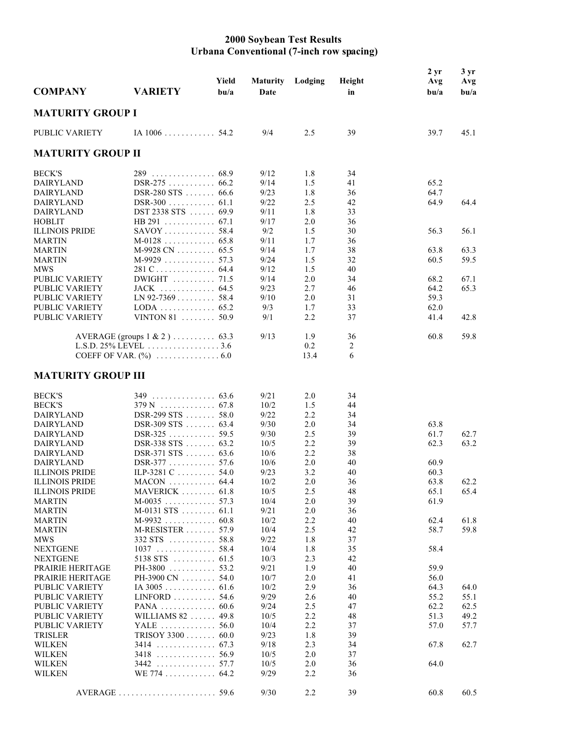## **2000 Soybean Test Results Urbana Conventional (7-inch row spacing)**

| <b>COMPANY</b>                 | <b>VARIETY</b>                          | Yield<br>b <sub>u/a</sub> | <b>Maturity</b><br>Date | Lodging    | Height<br>in | $2 \, yr$<br>Avg<br>b <sub>u/a</sub> | $3 \, yr$<br>Avg<br>$b$ u/a |
|--------------------------------|-----------------------------------------|---------------------------|-------------------------|------------|--------------|--------------------------------------|-----------------------------|
| <b>MATURITY GROUP I</b>        |                                         |                           |                         |            |              |                                      |                             |
| PUBLIC VARIETY                 | IA $1006$ 54.2                          |                           | 9/4                     | 2.5        | 39           | 39.7                                 | 45.1                        |
| <b>MATURITY GROUP II</b>       |                                         |                           |                         |            |              |                                      |                             |
| <b>BECK'S</b>                  | 289 68.9                                |                           | 9/12                    | 1.8        | 34           |                                      |                             |
| DAIRYLAND                      | DSR-275 66.2                            |                           | 9/14                    | 1.5        | 41           | 65.2                                 |                             |
| <b>DAIRYLAND</b>               | DSR-280 STS  66.6                       |                           | 9/23                    | 1.8        | 36           | 64.7                                 |                             |
| <b>DAIRYLAND</b>               | $DSR-300$ 61.1                          |                           | 9/22                    | 2.5        | 42           | 64.9                                 | 64.4                        |
| <b>DAIRYLAND</b>               | DST 2338 STS  69.9                      |                           | 9/11                    | 1.8        | 33           |                                      |                             |
| <b>HOBLIT</b>                  |                                         |                           | 9/17                    | 2.0        | 36           |                                      |                             |
| <b>ILLINOIS PRIDE</b>          | $SAVOY$ 58.4                            |                           | 9/2                     | 1.5        | 30           | 56.3                                 | 56.1                        |
| <b>MARTIN</b>                  | $M-0128$ 65.8                           |                           | 9/11                    | 1.7        | 36           |                                      |                             |
| MARTIN                         | $M-9928$ CN 65.5                        |                           | 9/14                    | 1.7        | 38           | 63.8                                 | 63.3                        |
| <b>MARTIN</b>                  | $M-9929$ 57.3                           |                           | 9/24                    | 1.5        | 32           | 60.5                                 | 59.5                        |
| <b>MWS</b>                     |                                         |                           | 9/12                    | 1.5        | 40           |                                      |                             |
| PUBLIC VARIETY                 | DWIGHT  71.5                            |                           | 9/14                    | 2.0        | 34           | 68.2                                 | 67.1                        |
| PUBLIC VARIETY                 | JACK  64.5                              |                           | 9/23                    | 2.7        | 46           | 64.2                                 | 65.3                        |
| PUBLIC VARIETY                 | $LN$ 92-7369 58.4                       |                           | 9/10                    | 2.0        | 31           | 59.3                                 |                             |
| PUBLIC VARIETY                 |                                         |                           | 9/3                     | 1.7        | 33           | 62.0                                 |                             |
| PUBLIC VARIETY                 | VINTON 81 $\dots \dots 50.9$            |                           | 9/1                     | 2.2        | 37           | 41.4                                 | 42.8                        |
|                                |                                         |                           | 9/13                    |            |              |                                      |                             |
|                                | AVERAGE (groups $1 \& 2$ )  63.3        |                           |                         | 1.9<br>0.2 | 36<br>2      | 60.8                                 | 59.8                        |
|                                |                                         |                           |                         | 13.4       | 6            |                                      |                             |
|                                |                                         |                           |                         |            |              |                                      |                             |
| <b>MATURITY GROUP III</b>      |                                         |                           |                         |            |              |                                      |                             |
| <b>BECK'S</b>                  | $349$ 63.6                              |                           | 9/21                    | 2.0        | 34           |                                      |                             |
| <b>BECK'S</b>                  |                                         |                           | 10/2                    | 1.5        | 44           |                                      |                             |
| <b>DAIRYLAND</b>               | DSR-299 STS  58.0                       |                           | 9/22                    | 2.2        | 34           |                                      |                             |
| <b>DAIRYLAND</b>               | DSR-309 STS  63.4                       |                           | 9/30                    | 2.0        | 34           | 63.8                                 |                             |
| <b>DAIRYLAND</b>               |                                         |                           | 9/30                    | 2.5        | 39           | 61.7                                 | 62.7                        |
| <b>DAIRYLAND</b>               | DSR-338 STS  63.2                       |                           | 10/5                    | 2.2        | 39           | 62.3                                 | 63.2                        |
| <b>DAIRYLAND</b>               | DSR-371 STS  63.6                       |                           | 10/6                    | 2.2        | 38           |                                      |                             |
| <b>DAIRYLAND</b>               | DSR-377 57.6                            |                           | 10/6                    | 2.0        | 40           | 60.9                                 |                             |
| <b>ILLINOIS PRIDE</b>          | ILP-3281 C 54.0                         |                           | 9/23                    | 3.2        | 40           | 60.3                                 |                             |
| <b>ILLINOIS PRIDE</b>          | $MACON$ 64.4                            |                           | 10/2                    | 2.0        | 36           | 63.8                                 | 62.2                        |
| <b>ILLINOIS PRIDE</b>          | MAVERICK  61.8                          |                           | 10/5                    | 2.5        | 48           | 65.1                                 | 65.4                        |
| <b>MARTIN</b>                  | $M-0035$ 57.3                           |                           | 10/4                    | 2.0        | 39           | 61.9                                 |                             |
| <b>MARTIN</b>                  | $M-0131$ STS  61.1                      |                           | 9/21                    | 2.0        | 36           |                                      |                             |
| <b>MARTIN</b>                  | $M-9932$ 60.8                           |                           | 10/2                    | 2.2        | 40           | 62.4                                 | 61.8                        |
| <b>MARTIN</b>                  | $M-RESISTER$ 57.9                       |                           | 10/4                    | 2.5        | 42           | 58.7                                 | 59.8                        |
| <b>MWS</b>                     | $332 STS$ 58.8                          |                           | 9/22                    | 1.8        | 37           |                                      |                             |
| <b>NEXTGENE</b>                | $1037$ 58.4                             |                           | 10/4                    | 1.8        | 35           | 58.4                                 |                             |
| <b>NEXTGENE</b>                | $5138$ STS  61.5                        |                           | 10/3                    | 2.3        | 42           |                                      |                             |
| PRAIRIE HERITAGE               | PH-3800 $\dots\dots\dots\dots$ 53.2     |                           | 9/21                    | 1.9        | 40           | 59.9                                 |                             |
| PRAIRIE HERITAGE               | PH-3900 CN  54.0                        |                           | 10/7                    | 2.0        | 41           | 56.0                                 |                             |
| PUBLIC VARIETY                 | IA 3005 61.6                            |                           | 10/2                    | 2.9        | 36           | 64.3                                 | 64.0                        |
| PUBLIC VARIETY                 | $LINFORM$ 54.6                          |                           | 9/29                    | 2.6        | 40           | 55.2                                 | 55.1                        |
| PUBLIC VARIETY                 | PANA $\ldots \ldots \ldots \ldots 60.6$ |                           | 9/24                    | 2.5        | 47           | 62.2                                 | 62.5                        |
| PUBLIC VARIETY                 | WILLIAMS 82  49.8                       |                           | 10/5                    | 2.2        | 48           | 51.3                                 | 49.2                        |
| PUBLIC VARIETY                 | YALE  56.0                              |                           | 10/4                    | 2.2        | 37           | 57.0                                 | 57.7                        |
| <b>TRISLER</b>                 | TRISOY $3300$ 60.0                      |                           | 9/23                    | 1.8        | 39           |                                      |                             |
| <b>WILKEN</b>                  | $3414$ 67.3                             |                           | 9/18                    | 2.3        | 34           | 67.8                                 | 62.7                        |
| <b>WILKEN</b><br><b>WILKEN</b> | $3418$ 56.9<br>$3442$ 57.7              |                           | 10/5<br>10/5            | 2.0<br>2.0 | 37<br>36     | 64.0                                 |                             |
| <b>WILKEN</b>                  | WE 774 64.2                             |                           | 9/29                    | 2.2        | 36           |                                      |                             |
|                                |                                         |                           |                         |            |              |                                      |                             |
|                                |                                         |                           | 9/30                    | 2.2        | 39           | 60.8                                 | 60.5                        |